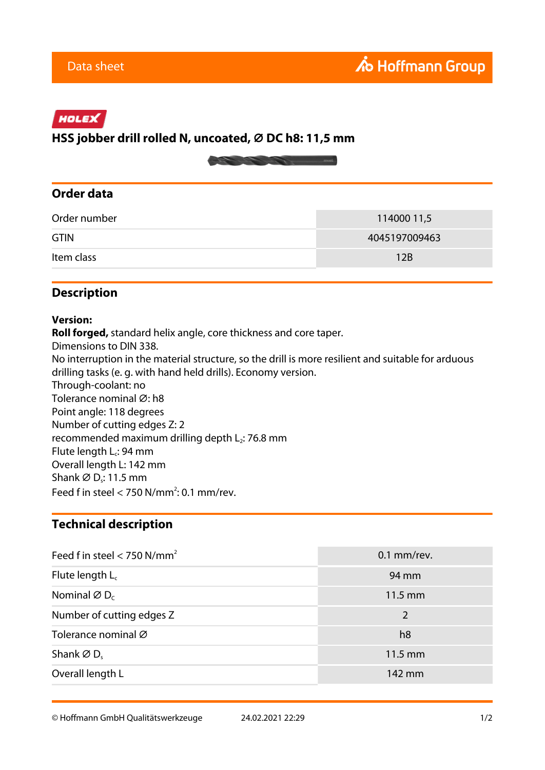# HOLEX

# **HSS jobber drill rolled N, uncoated, ⌀ DC h8: 11,5 mm**



#### **Order data**

| Order number | 114000 11,5   |
|--------------|---------------|
| <b>GTIN</b>  | 4045197009463 |
| Item class   | 12B           |

### **Description**

#### **Version:**

**Roll forged,** standard helix angle, core thickness and core taper. Dimensions to DIN 338. No interruption in the material structure, so the drill is more resilient and suitable for arduous drilling tasks (e. g. with hand held drills). Economy version. Through-coolant: no Tolerance nominal Ø: h8 Point angle: 118 degrees Number of cutting edges Z: 2 recommended maximum drilling depth  $L_2$ : 76.8 mm Flute length L<sub>c</sub>: 94 mm Overall length L: 142 mm Shank ∅ D,: 11.5 mm Feed f in steel  $<$  750 N/mm<sup>2</sup>: 0.1 mm/rev.

#### **Technical description**

| Feed f in steel $<$ 750 N/mm <sup>2</sup> | $0.1$ mm/rev.     |
|-------------------------------------------|-------------------|
| Flute length $L_c$                        | 94 mm             |
| Nominal $\varnothing$ D <sub>c</sub>      | $11.5 \text{ mm}$ |
| Number of cutting edges Z                 | 2                 |
| Tolerance nominal Ø                       | h <sub>8</sub>    |
| Shank $\varnothing$ D.                    | $11.5 \text{ mm}$ |
| Overall length L                          | 142 mm            |

© Hoffmann GmbH Qualitätswerkzeuge 24.02.2021 22:29 1/2